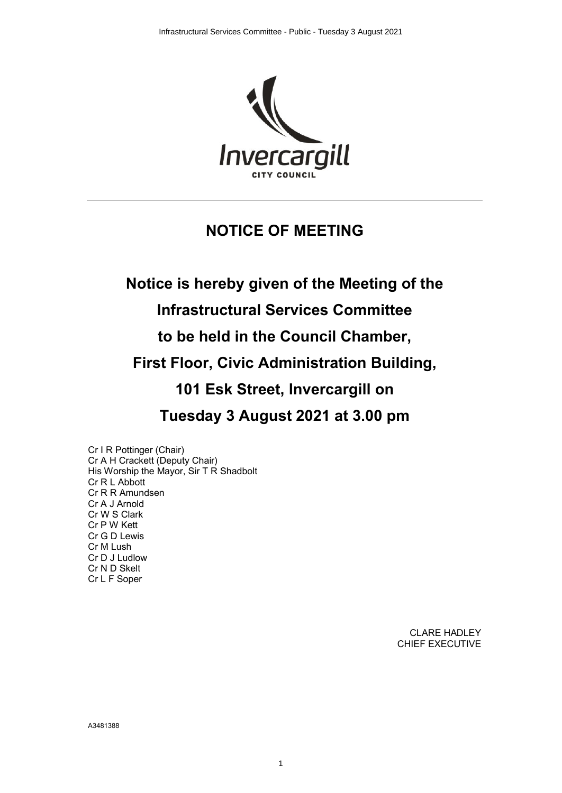

# **NOTICE OF MEETING**

# **Notice is hereby given of the Meeting of the**

### **Infrastructural Services Committee**

**to be held in the Council Chamber,**

**First Floor, Civic Administration Building,**

**101 Esk Street, Invercargill on**

**Tuesday 3 August 2021 at 3.00 pm**

Cr I R Pottinger (Chair) Cr A H Crackett (Deputy Chair) His Worship the Mayor, Sir T R Shadbolt Cr R L Abbott Cr R R Amundsen Cr A J Arnold Cr W S Clark Cr P W Kett Cr G D Lewis Cr M Lush Cr D J Ludlow Cr N D Skelt Cr L F Soper

> CLARE HADLEY CHIEF EXECUTIVE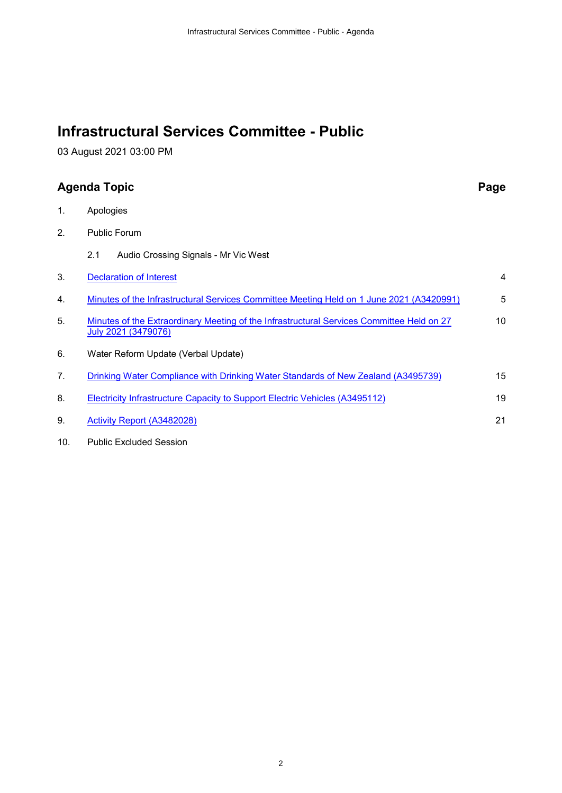## **Infrastructural Services Committee - Public**

03 August 2021 03:00 PM

### **Agenda Topic Page**

1. Apologies 2. Public Forum 2.1 Audio Crossing Signals - Mr Vic West 3. [Declaration of Interest](#page-3-0) 4 4. [Minutes of the Infrastructural Services Committee Meeting Held on 1 June 2021 \(A3420991\)](#page-4-0) 5 5. [Minutes of the Extraordinary Meeting of the Infrastructural Services Committee Held on 27](#page-9-0) [July 2021 \(3479076\)](#page-9-0) 10 6. Water Reform Update (Verbal Update) 7. [Drinking Water Compliance with Drinking Water Standards of New Zealand \(A3495739\)](#page-14-0) 15 8. [Electricity Infrastructure Capacity to Support Electric Vehicles \(A3495112\)](#page-18-0) 19 9. [Activity Report \(A3482028\)](#page-20-0) 21

10. Public Excluded Session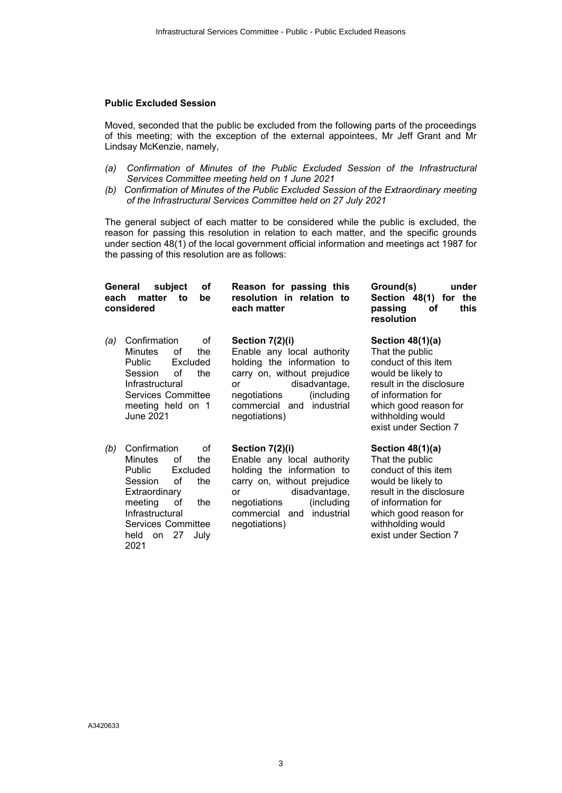#### **Public Excluded Session**

Moved, seconded that the public be excluded from the following parts of the proceedings of this meeting; with the exception of the external appointees, Mr Jeff Grant and Mr Lindsay McKenzie, namely,

- *(a) Confirmation of Minutes of the Public Excluded Session of the Infrastructural Services Committee meeting held on 1 June 2021*
- *(b) Confirmation of Minutes of the Public Excluded Session of the Extraordinary meeting of the Infrastructural Services Committee held on 27 July 2021*

The general subject of each matter to be considered while the public is excluded, the reason for passing this resolution in relation to each matter, and the specific grounds under section 48(1) of the local government official information and meetings act 1987 for the passing of this resolution are as follows:

| subject<br>General<br>οf<br>each<br>matter<br>to<br>be<br>considered                                                                                                                                                             | Reason for passing this<br>resolution in relation to<br>each matter                                                                                                                                                     | Ground(s)<br>under<br>Section 48(1) for<br>the<br>passing<br>οf<br>this<br>resolution                                                                                                                        |
|----------------------------------------------------------------------------------------------------------------------------------------------------------------------------------------------------------------------------------|-------------------------------------------------------------------------------------------------------------------------------------------------------------------------------------------------------------------------|--------------------------------------------------------------------------------------------------------------------------------------------------------------------------------------------------------------|
| Confirmation<br>Ωf<br>(a)<br><b>Minutes</b><br>0f<br>the<br><b>Public</b><br>Excluded<br>Ωf<br>Session<br>the<br>Infrastructural<br><b>Services Committee</b><br>meeting held on 1<br>June 2021                                  | Section 7(2)(i)<br>Enable any local authority<br>holding the information to<br>carry on, without prejudice<br>disadvantage,<br><b>or</b><br>(including<br>negotiations<br>industrial<br>commercial and<br>negotiations) | Section $48(1)(a)$<br>That the public<br>conduct of this item<br>would be likely to<br>result in the disclosure<br>of information for<br>which good reason for<br>withholding would<br>exist under Section 7 |
| Confirmation<br>οf<br>(b)<br><b>Minutes</b><br>οf<br>the<br>Public<br>Excluded<br>Session<br>Ωf<br>the<br>Extraordinary<br>of<br>meeting<br>the<br>Infrastructural<br><b>Services Committee</b><br>on 27<br>held<br>July<br>2021 | Section 7(2)(i)<br>Enable any local authority<br>holding the information to<br>carry on, without prejudice<br>disadvantage,<br><b>or</b><br>(including<br>negotiations<br>commercial and industrial<br>negotiations)    | Section $48(1)(a)$<br>That the public<br>conduct of this item<br>would be likely to<br>result in the disclosure<br>of information for<br>which good reason for<br>withholding would<br>exist under Section 7 |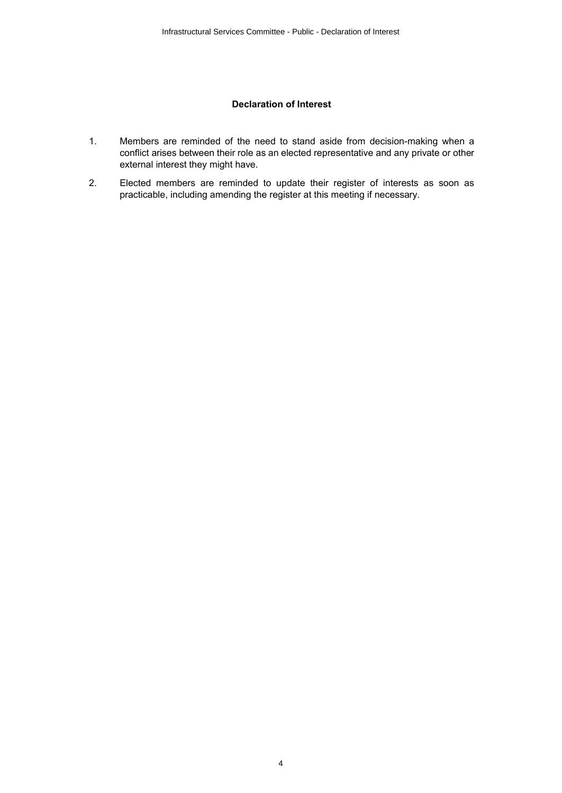#### **Declaration of Interest**

- <span id="page-3-0"></span>1. Members are reminded of the need to stand aside from decision-making when a conflict arises between their role as an elected representative and any private or other external interest they might have.
- 2. Elected members are reminded to update their register of interests as soon as practicable, including amending the register at this meeting if necessary.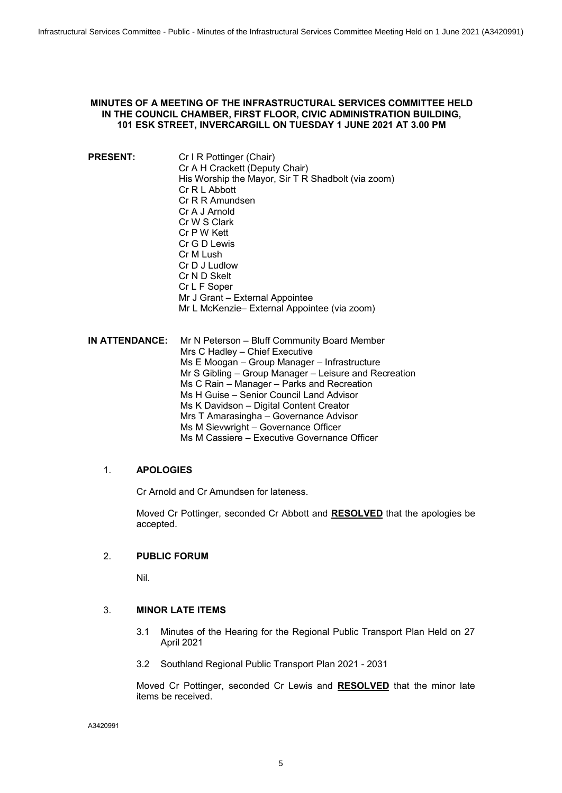#### <span id="page-4-0"></span>**MINUTES OF A MEETING OF THE INFRASTRUCTURAL SERVICES COMMITTEE HELD IN THE COUNCIL CHAMBER, FIRST FLOOR, CIVIC ADMINISTRATION BUILDING, 101 ESK STREET, INVERCARGILL ON TUESDAY 1 JUNE 2021 AT 3.00 PM**

**PRESENT:** Cr I R Pottinger (Chair) Cr A H Crackett (Deputy Chair) His Worship the Mayor, Sir T R Shadbolt (via zoom) Cr R L Abbott Cr R R Amundsen Cr A J Arnold Cr W S Clark Cr P W Kett Cr G D Lewis Cr M Lush Cr D J Ludlow Cr N D Skelt Cr L F Soper Mr J Grant – External Appointee Mr L McKenzie– External Appointee (via zoom)

**IN ATTENDANCE:** Mr N Peterson – Bluff Community Board Member Mrs C Hadley – Chief Executive Ms E Moogan – Group Manager – Infrastructure Mr S Gibling – Group Manager – Leisure and Recreation Ms C Rain – Manager – Parks and Recreation Ms H Guise – Senior Council Land Advisor Ms K Davidson – Digital Content Creator Mrs T Amarasingha – Governance Advisor Ms M Sievwright – Governance Officer Ms M Cassiere – Executive Governance Officer

#### 1. **APOLOGIES**

Cr Arnold and Cr Amundsen for lateness.

Moved Cr Pottinger, seconded Cr Abbott and **RESOLVED** that the apologies be accepted.

#### 2. **PUBLIC FORUM**

Nil.

#### 3. **MINOR LATE ITEMS**

- 3.1 Minutes of the Hearing for the Regional Public Transport Plan Held on 27 April 2021
- 3.2 Southland Regional Public Transport Plan 2021 2031

Moved Cr Pottinger, seconded Cr Lewis and **RESOLVED** that the minor late items be received.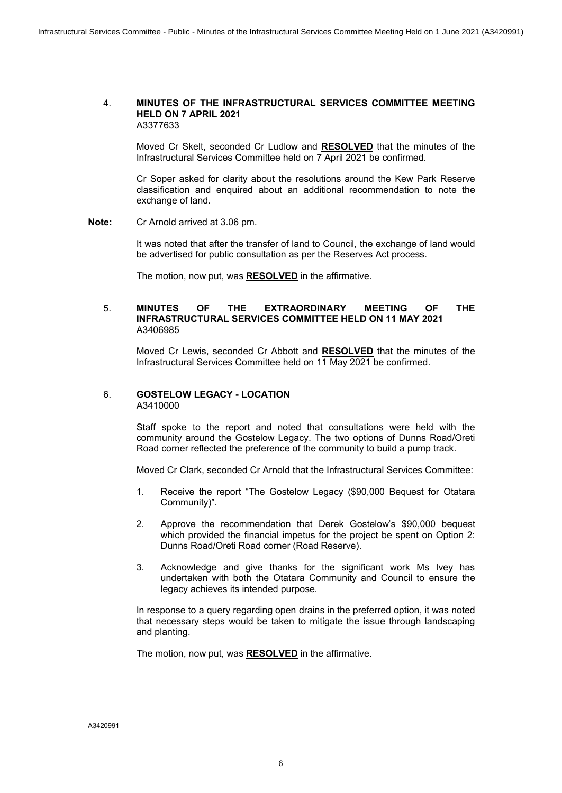#### 4. **MINUTES OF THE INFRASTRUCTURAL SERVICES COMMITTEE MEETING HELD ON 7 APRIL 2021** A3377633

Moved Cr Skelt, seconded Cr Ludlow and **RESOLVED** that the minutes of the Infrastructural Services Committee held on 7 April 2021 be confirmed.

Cr Soper asked for clarity about the resolutions around the Kew Park Reserve classification and enquired about an additional recommendation to note the exchange of land.

**Note:** Cr Arnold arrived at 3.06 pm.

It was noted that after the transfer of land to Council, the exchange of land would be advertised for public consultation as per the Reserves Act process.

The motion, now put, was **RESOLVED** in the affirmative.

#### 5. **MINUTES OF THE EXTRAORDINARY MEETING OF THE INFRASTRUCTURAL SERVICES COMMITTEE HELD ON 11 MAY 2021** A3406985

Moved Cr Lewis, seconded Cr Abbott and **RESOLVED** that the minutes of the Infrastructural Services Committee held on 11 May 2021 be confirmed.

#### 6. **GOSTELOW LEGACY - LOCATION** A3410000

Staff spoke to the report and noted that consultations were held with the community around the Gostelow Legacy. The two options of Dunns Road/Oreti Road corner reflected the preference of the community to build a pump track.

Moved Cr Clark, seconded Cr Arnold that the Infrastructural Services Committee:

- 1. Receive the report "The Gostelow Legacy (\$90,000 Bequest for Otatara Community)".
- 2. Approve the recommendation that Derek Gostelow's \$90,000 bequest which provided the financial impetus for the project be spent on Option 2: Dunns Road/Oreti Road corner (Road Reserve).
- 3. Acknowledge and give thanks for the significant work Ms Ivey has undertaken with both the Otatara Community and Council to ensure the legacy achieves its intended purpose.

In response to a query regarding open drains in the preferred option, it was noted that necessary steps would be taken to mitigate the issue through landscaping and planting.

The motion, now put, was **RESOLVED** in the affirmative.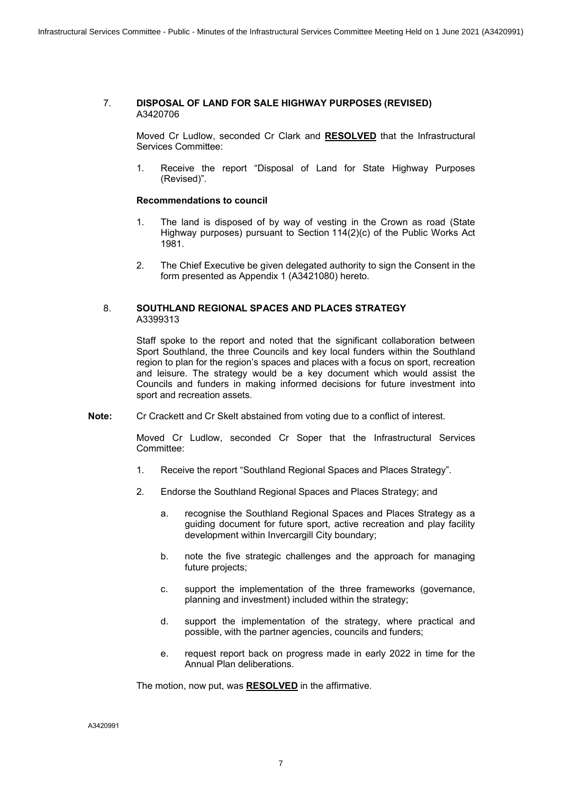#### 7. **DISPOSAL OF LAND FOR SALE HIGHWAY PURPOSES (REVISED)** A3420706

Moved Cr Ludlow, seconded Cr Clark and **RESOLVED** that the Infrastructural Services Committee:

1. Receive the report "Disposal of Land for State Highway Purposes (Revised)".

#### **Recommendations to council**

- 1. The land is disposed of by way of vesting in the Crown as road (State Highway purposes) pursuant to Section 114(2)(c) of the Public Works Act 1981.
- 2. The Chief Executive be given delegated authority to sign the Consent in the form presented as Appendix 1 (A3421080) hereto.

#### 8. **SOUTHLAND REGIONAL SPACES AND PLACES STRATEGY** A3399313

Staff spoke to the report and noted that the significant collaboration between Sport Southland, the three Councils and key local funders within the Southland region to plan for the region's spaces and places with a focus on sport, recreation and leisure. The strategy would be a key document which would assist the Councils and funders in making informed decisions for future investment into sport and recreation assets.

**Note:** Cr Crackett and Cr Skelt abstained from voting due to a conflict of interest.

Moved Cr Ludlow, seconded Cr Soper that the Infrastructural Services Committee:

- 1. Receive the report "Southland Regional Spaces and Places Strategy".
- 2. Endorse the Southland Regional Spaces and Places Strategy; and
	- a. recognise the Southland Regional Spaces and Places Strategy as a guiding document for future sport, active recreation and play facility development within Invercargill City boundary;
	- b. note the five strategic challenges and the approach for managing future projects;
	- c. support the implementation of the three frameworks (governance, planning and investment) included within the strategy;
	- d. support the implementation of the strategy, where practical and possible, with the partner agencies, councils and funders;
	- e. request report back on progress made in early 2022 in time for the Annual Plan deliberations.

The motion, now put, was **RESOLVED** in the affirmative.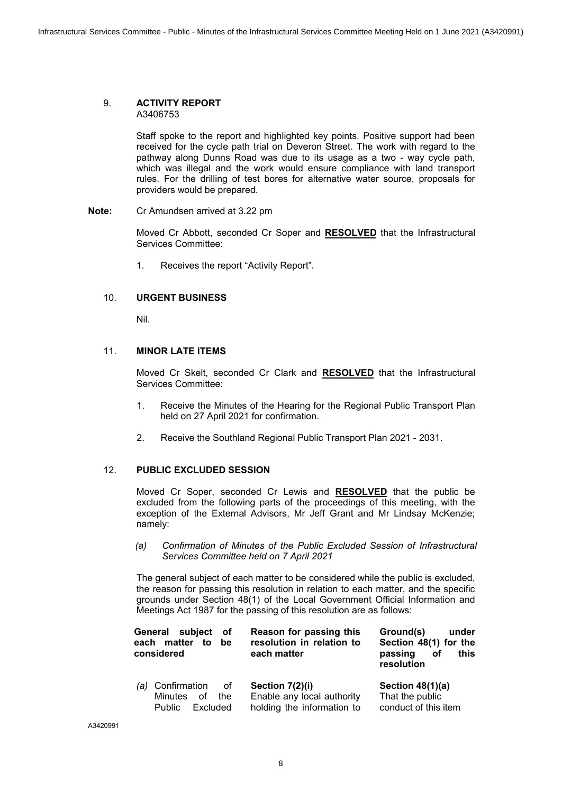#### 9. **ACTIVITY REPORT**  A3406753

Staff spoke to the report and highlighted key points. Positive support had been received for the cycle path trial on Deveron Street. The work with regard to the pathway along Dunns Road was due to its usage as a two - way cycle path, which was illegal and the work would ensure compliance with land transport rules. For the drilling of test bores for alternative water source, proposals for providers would be prepared.

**Note:** Cr Amundsen arrived at 3.22 pm

Moved Cr Abbott, seconded Cr Soper and **RESOLVED** that the Infrastructural Services Committee:

1. Receives the report "Activity Report".

#### 10. **URGENT BUSINESS**

Nil.

#### 11. **MINOR LATE ITEMS**

Moved Cr Skelt, seconded Cr Clark and **RESOLVED** that the Infrastructural Services Committee:

- 1. Receive the Minutes of the Hearing for the Regional Public Transport Plan held on 27 April 2021 for confirmation.
- 2. Receive the Southland Regional Public Transport Plan 2021 2031.

#### 12. **PUBLIC EXCLUDED SESSION**

Moved Cr Soper, seconded Cr Lewis and **RESOLVED** that the public be excluded from the following parts of the proceedings of this meeting, with the exception of the External Advisors, Mr Jeff Grant and Mr Lindsay McKenzie; namely:

*(a) Confirmation of Minutes of the Public Excluded Session of Infrastructural Services Committee held on 7 April 2021*

The general subject of each matter to be considered while the public is excluded, the reason for passing this resolution in relation to each matter, and the specific grounds under Section 48(1) of the Local Government Official Information and Meetings Act 1987 for the passing of this resolution are as follows:

| General subject<br>0f<br>each matter to<br>be<br>considered                 | Reason for passing this<br>resolution in relation to<br>each matter         | Ground(s)<br>under<br>Section 48(1) for the<br>passing<br>this<br>of<br>resolution |  |
|-----------------------------------------------------------------------------|-----------------------------------------------------------------------------|------------------------------------------------------------------------------------|--|
| Confirmation<br>0f<br>(a)<br>Minutes of<br>the<br>Excluded<br><b>Public</b> | Section 7(2)(i)<br>Enable any local authority<br>holding the information to | Section $48(1)(a)$<br>That the public<br>conduct of this item                      |  |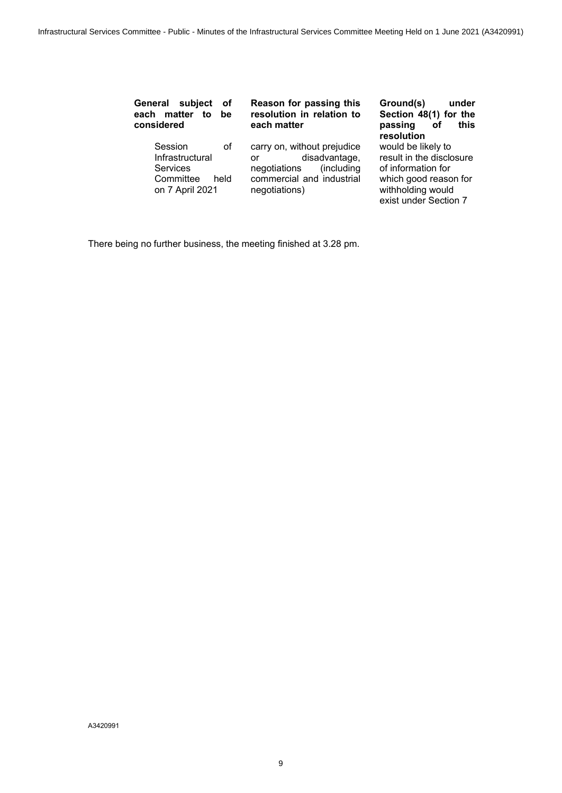| subject<br>General<br><b>of</b><br>each matter<br>to<br>be<br>considered      |            | Reason for passing this<br>resolution in relation to<br>each matter                                                             | Ground(s)<br>under<br>Section 48(1) for the<br>this<br>passing<br>οf<br>resolution                                                          |
|-------------------------------------------------------------------------------|------------|---------------------------------------------------------------------------------------------------------------------------------|---------------------------------------------------------------------------------------------------------------------------------------------|
| Session<br>Infrastructural<br><b>Services</b><br>Committee<br>on 7 April 2021 | οf<br>held | carry on, without prejudice<br>disadvantage,<br>or<br>(including)<br>negotiations<br>commercial and industrial<br>negotiations) | would be likely to<br>result in the disclosure<br>of information for<br>which good reason for<br>withholding would<br>exist under Section 7 |

There being no further business, the meeting finished at 3.28 pm.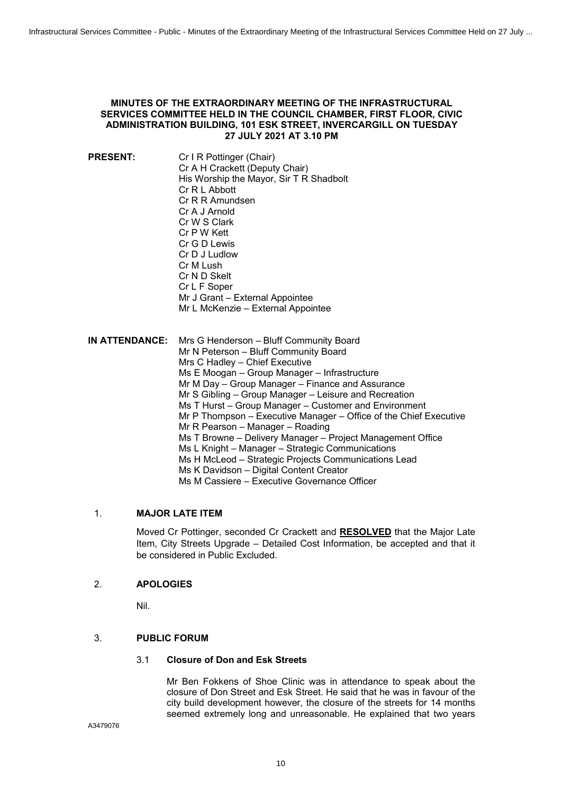#### <span id="page-9-0"></span>**MINUTES OF THE EXTRAORDINARY MEETING OF THE INFRASTRUCTURAL SERVICES COMMITTEE HELD IN THE COUNCIL CHAMBER, FIRST FLOOR, CIVIC ADMINISTRATION BUILDING, 101 ESK STREET, INVERCARGILL ON TUESDAY 27 JULY 2021 AT 3.10 PM**

**PRESENT:** Cr I R Pottinger (Chair) Cr A H Crackett (Deputy Chair) His Worship the Mayor, Sir T R Shadbolt Cr R L Abbott Cr R R Amundsen Cr A J Arnold Cr W S Clark Cr P W Kett Cr G D Lewis Cr D J Ludlow Cr M Lush Cr N D Skelt Cr L F Soper Mr J Grant – External Appointee Mr L McKenzie – External Appointee **IN ATTENDANCE:** Mrs G Henderson – Bluff Community Board Mr N Peterson – Bluff Community Board Mrs C Hadley – Chief Executive Ms E Moogan – Group Manager – Infrastructure Mr M Day – Group Manager – Finance and Assurance Mr S Gibling – Group Manager – Leisure and Recreation Ms T Hurst – Group Manager – Customer and Environment Mr P Thompson – Executive Manager – Office of the Chief Executive Mr R Pearson – Manager – Roading Ms T Browne – Delivery Manager – Project Management Office Ms L Knight – Manager – Strategic Communications

- Ms H McLeod Strategic Projects Communications Lead
	- Ms K Davidson Digital Content Creator
	- Ms M Cassiere Executive Governance Officer

#### 1. **MAJOR LATE ITEM**

Moved Cr Pottinger, seconded Cr Crackett and **RESOLVED** that the Major Late Item, City Streets Upgrade – Detailed Cost Information, be accepted and that it be considered in Public Excluded.

#### 2. **APOLOGIES**

Nil.

#### 3. **PUBLIC FORUM**

#### 3.1 **Closure of Don and Esk Streets**

Mr Ben Fokkens of Shoe Clinic was in attendance to speak about the closure of Don Street and Esk Street. He said that he was in favour of the city build development however, the closure of the streets for 14 months seemed extremely long and unreasonable. He explained that two years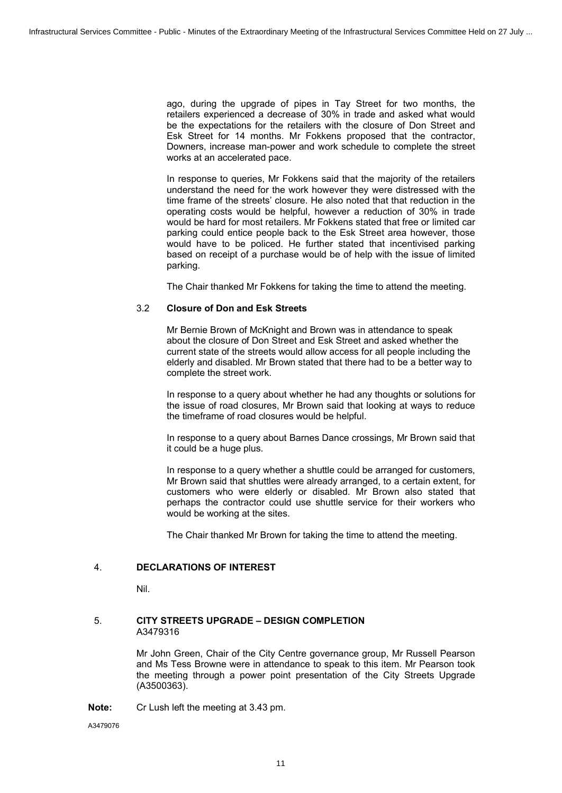ago, during the upgrade of pipes in Tay Street for two months, the retailers experienced a decrease of 30% in trade and asked what would be the expectations for the retailers with the closure of Don Street and Esk Street for 14 months. Mr Fokkens proposed that the contractor, Downers, increase man-power and work schedule to complete the street works at an accelerated pace.

In response to queries, Mr Fokkens said that the majority of the retailers understand the need for the work however they were distressed with the time frame of the streets' closure. He also noted that that reduction in the operating costs would be helpful, however a reduction of 30% in trade would be hard for most retailers. Mr Fokkens stated that free or limited car parking could entice people back to the Esk Street area however, those would have to be policed. He further stated that incentivised parking based on receipt of a purchase would be of help with the issue of limited parking.

The Chair thanked Mr Fokkens for taking the time to attend the meeting.

#### 3.2 **Closure of Don and Esk Streets**

Mr Bernie Brown of McKnight and Brown was in attendance to speak about the closure of Don Street and Esk Street and asked whether the current state of the streets would allow access for all people including the elderly and disabled. Mr Brown stated that there had to be a better way to complete the street work.

In response to a query about whether he had any thoughts or solutions for the issue of road closures, Mr Brown said that looking at ways to reduce the timeframe of road closures would be helpful.

In response to a query about Barnes Dance crossings, Mr Brown said that it could be a huge plus.

In response to a query whether a shuttle could be arranged for customers, Mr Brown said that shuttles were already arranged, to a certain extent, for customers who were elderly or disabled. Mr Brown also stated that perhaps the contractor could use shuttle service for their workers who would be working at the sites.

The Chair thanked Mr Brown for taking the time to attend the meeting.

#### 4. **DECLARATIONS OF INTEREST**

Nil.

#### 5. **CITY STREETS UPGRADE – DESIGN COMPLETION** A3479316

Mr John Green, Chair of the City Centre governance group, Mr Russell Pearson and Ms Tess Browne were in attendance to speak to this item. Mr Pearson took the meeting through a power point presentation of the City Streets Upgrade (A3500363).

**Note:** Cr Lush left the meeting at 3.43 pm.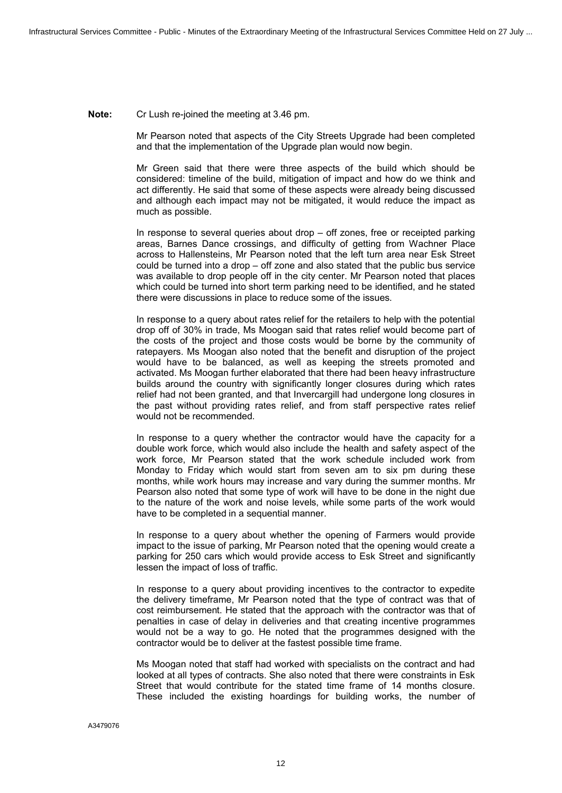#### **Note:** Cr Lush re-joined the meeting at 3.46 pm.

Mr Pearson noted that aspects of the City Streets Upgrade had been completed and that the implementation of the Upgrade plan would now begin.

Mr Green said that there were three aspects of the build which should be considered: timeline of the build, mitigation of impact and how do we think and act differently. He said that some of these aspects were already being discussed and although each impact may not be mitigated, it would reduce the impact as much as possible.

In response to several queries about drop – off zones, free or receipted parking areas, Barnes Dance crossings, and difficulty of getting from Wachner Place across to Hallensteins, Mr Pearson noted that the left turn area near Esk Street could be turned into a drop – off zone and also stated that the public bus service was available to drop people off in the city center. Mr Pearson noted that places which could be turned into short term parking need to be identified, and he stated there were discussions in place to reduce some of the issues.

In response to a query about rates relief for the retailers to help with the potential drop off of 30% in trade, Ms Moogan said that rates relief would become part of the costs of the project and those costs would be borne by the community of ratepayers. Ms Moogan also noted that the benefit and disruption of the project would have to be balanced, as well as keeping the streets promoted and activated. Ms Moogan further elaborated that there had been heavy infrastructure builds around the country with significantly longer closures during which rates relief had not been granted, and that Invercargill had undergone long closures in the past without providing rates relief, and from staff perspective rates relief would not be recommended.

In response to a query whether the contractor would have the capacity for a double work force, which would also include the health and safety aspect of the work force, Mr Pearson stated that the work schedule included work from Monday to Friday which would start from seven am to six pm during these months, while work hours may increase and vary during the summer months. Mr Pearson also noted that some type of work will have to be done in the night due to the nature of the work and noise levels, while some parts of the work would have to be completed in a sequential manner.

In response to a query about whether the opening of Farmers would provide impact to the issue of parking, Mr Pearson noted that the opening would create a parking for 250 cars which would provide access to Esk Street and significantly lessen the impact of loss of traffic.

In response to a query about providing incentives to the contractor to expedite the delivery timeframe, Mr Pearson noted that the type of contract was that of cost reimbursement. He stated that the approach with the contractor was that of penalties in case of delay in deliveries and that creating incentive programmes would not be a way to go. He noted that the programmes designed with the contractor would be to deliver at the fastest possible time frame.

Ms Moogan noted that staff had worked with specialists on the contract and had looked at all types of contracts. She also noted that there were constraints in Esk Street that would contribute for the stated time frame of 14 months closure. These included the existing hoardings for building works, the number of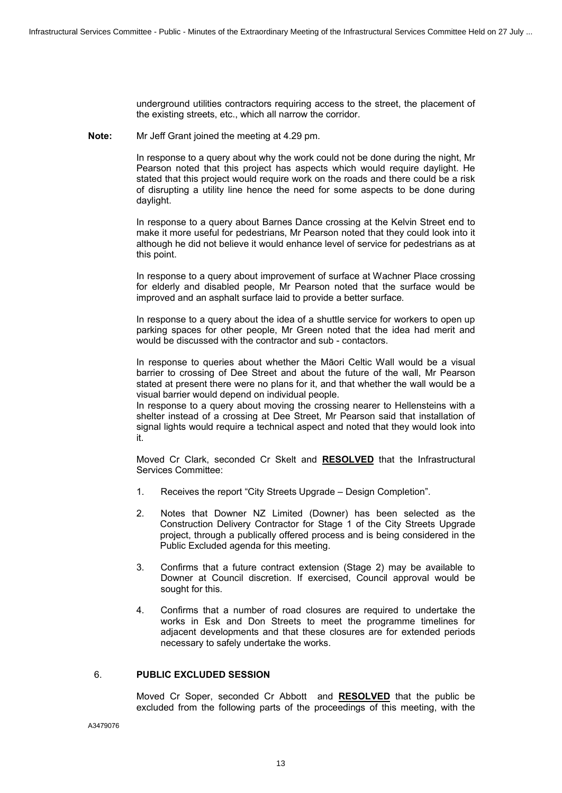underground utilities contractors requiring access to the street, the placement of the existing streets, etc., which all narrow the corridor.

**Note:** Mr Jeff Grant joined the meeting at 4.29 pm.

In response to a query about why the work could not be done during the night, Mr Pearson noted that this project has aspects which would require daylight. He stated that this project would require work on the roads and there could be a risk of disrupting a utility line hence the need for some aspects to be done during daylight.

In response to a query about Barnes Dance crossing at the Kelvin Street end to make it more useful for pedestrians, Mr Pearson noted that they could look into it although he did not believe it would enhance level of service for pedestrians as at this point.

In response to a query about improvement of surface at Wachner Place crossing for elderly and disabled people, Mr Pearson noted that the surface would be improved and an asphalt surface laid to provide a better surface.

In response to a query about the idea of a shuttle service for workers to open up parking spaces for other people, Mr Green noted that the idea had merit and would be discussed with the contractor and sub - contactors.

In response to queries about whether the Māori Celtic Wall would be a visual barrier to crossing of Dee Street and about the future of the wall, Mr Pearson stated at present there were no plans for it, and that whether the wall would be a visual barrier would depend on individual people.

In response to a query about moving the crossing nearer to Hellensteins with a shelter instead of a crossing at Dee Street, Mr Pearson said that installation of signal lights would require a technical aspect and noted that they would look into it.

Moved Cr Clark, seconded Cr Skelt and **RESOLVED** that the Infrastructural Services Committee:

- 1. Receives the report "City Streets Upgrade Design Completion".
- 2. Notes that Downer NZ Limited (Downer) has been selected as the Construction Delivery Contractor for Stage 1 of the City Streets Upgrade project, through a publically offered process and is being considered in the Public Excluded agenda for this meeting.
- 3. Confirms that a future contract extension (Stage 2) may be available to Downer at Council discretion. If exercised, Council approval would be sought for this.
- 4. Confirms that a number of road closures are required to undertake the works in Esk and Don Streets to meet the programme timelines for adjacent developments and that these closures are for extended periods necessary to safely undertake the works.

#### 6. **PUBLIC EXCLUDED SESSION**

Moved Cr Soper, seconded Cr Abbott and **RESOLVED** that the public be excluded from the following parts of the proceedings of this meeting, with the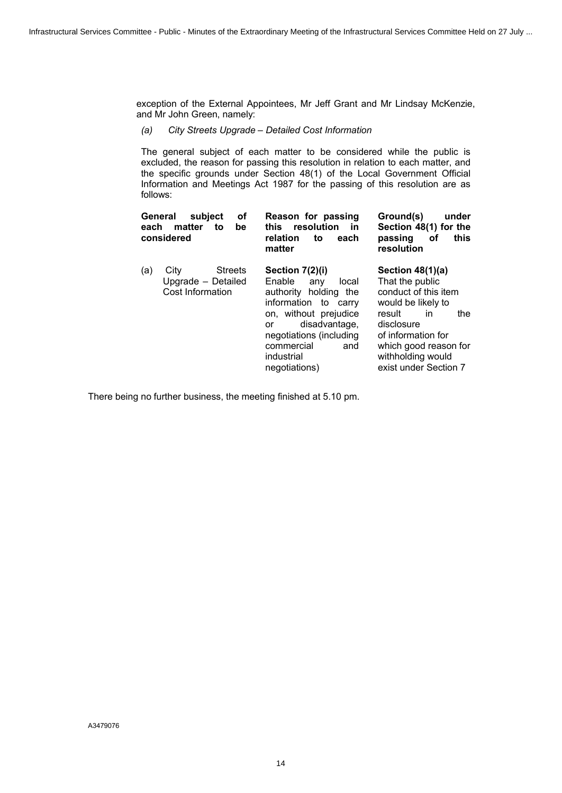exception of the External Appointees, Mr Jeff Grant and Mr Lindsay McKenzie, and Mr John Green, namely:

*(a) City Streets Upgrade – Detailed Cost Information*

The general subject of each matter to be considered while the public is excluded, the reason for passing this resolution in relation to each matter, and the specific grounds under Section 48(1) of the Local Government Official Information and Meetings Act 1987 for the passing of this resolution are as follows:

| οf<br>General<br>subject<br>matter<br>each<br>be<br>to<br>considered    | Reason for passing<br>this resolution<br><b>in</b><br>relation<br>to<br>each<br>matter                                                                                                                                    | Ground(s)<br>under<br>Section 48(1) for the<br>passing<br>this<br>оf<br>resolution                                                                                                                                    |
|-------------------------------------------------------------------------|---------------------------------------------------------------------------------------------------------------------------------------------------------------------------------------------------------------------------|-----------------------------------------------------------------------------------------------------------------------------------------------------------------------------------------------------------------------|
| (a)<br><b>Streets</b><br>City<br>Upgrade - Detailed<br>Cost Information | Section 7(2)(i)<br>Enable<br>local<br>any<br>authority holding the<br>information to carry<br>on, without prejudice<br>disadvantage,<br>or<br>negotiations (including<br>commercial<br>and<br>industrial<br>negotiations) | Section $48(1)(a)$<br>That the public<br>conduct of this item<br>would be likely to<br>the<br>result<br>in<br>disclosure<br>of information for<br>which good reason for<br>withholding would<br>exist under Section 7 |

There being no further business, the meeting finished at 5.10 pm.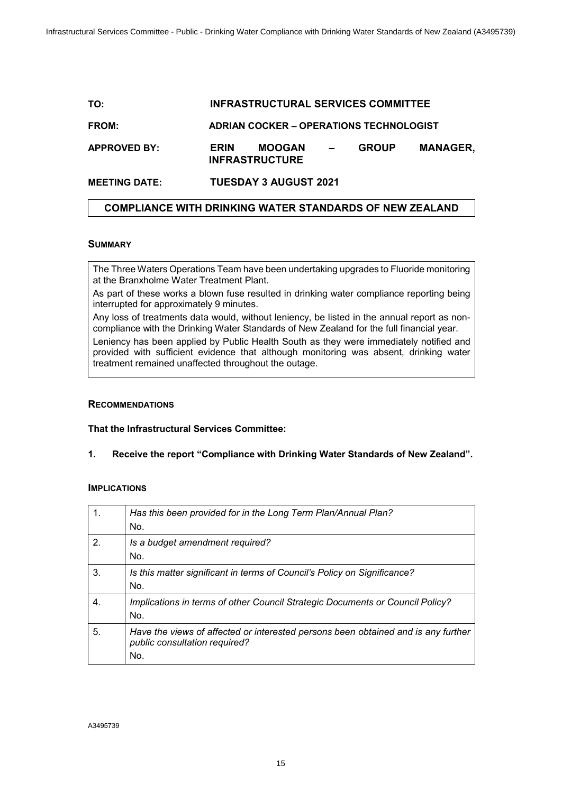# <span id="page-14-0"></span>**TO: INFRASTRUCTURAL SERVICES COMMITTEE FROM: ADRIAN COCKER – OPERATIONS TECHNOLOGIST APPROVED BY: ERIN MOOGAN – GROUP MANAGER, INFRASTRUCTURE MEETING DATE: TUESDAY 3 AUGUST 2021**

#### **COMPLIANCE WITH DRINKING WATER STANDARDS OF NEW ZEALAND**

#### **SUMMARY**

The Three Waters Operations Team have been undertaking upgrades to Fluoride monitoring at the Branxholme Water Treatment Plant.

As part of these works a blown fuse resulted in drinking water compliance reporting being interrupted for approximately 9 minutes.

Any loss of treatments data would, without leniency, be listed in the annual report as noncompliance with the Drinking Water Standards of New Zealand for the full financial year.

Leniency has been applied by Public Health South as they were immediately notified and provided with sufficient evidence that although monitoring was absent, drinking water treatment remained unaffected throughout the outage.

#### **RECOMMENDATIONS**

**That the Infrastructural Services Committee:**

#### **1. Receive the report "Compliance with Drinking Water Standards of New Zealand".**

#### **IMPLICATIONS**

|                | Has this been provided for in the Long Term Plan/Annual Plan?<br>No.                                                      |
|----------------|---------------------------------------------------------------------------------------------------------------------------|
| 2 <sub>1</sub> | Is a budget amendment required?<br>No.                                                                                    |
| 3.             | Is this matter significant in terms of Council's Policy on Significance?<br>No.                                           |
| 4.             | Implications in terms of other Council Strategic Documents or Council Policy?<br>No.                                      |
| 5.             | Have the views of affected or interested persons been obtained and is any further<br>public consultation required?<br>No. |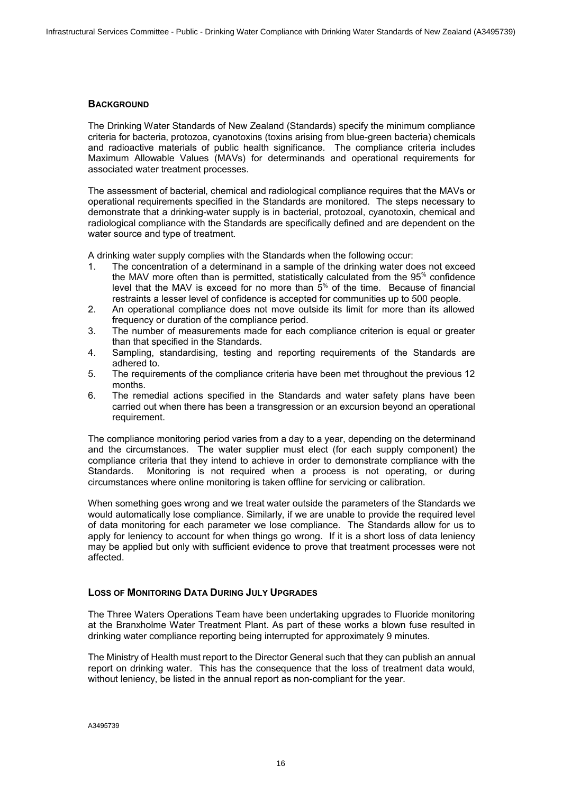#### **BACKGROUND**

The Drinking Water Standards of New Zealand (Standards) specify the minimum compliance criteria for bacteria, protozoa, cyanotoxins (toxins arising from blue-green bacteria) chemicals and radioactive materials of public health significance. The compliance criteria includes Maximum Allowable Values (MAVs) for determinands and operational requirements for associated water treatment processes.

The assessment of bacterial, chemical and radiological compliance requires that the MAVs or operational requirements specified in the Standards are monitored. The steps necessary to demonstrate that a drinking-water supply is in bacterial, protozoal, cyanotoxin, chemical and radiological compliance with the Standards are specifically defined and are dependent on the water source and type of treatment.

A drinking water supply complies with the Standards when the following occur:

- 1. The concentration of a determinand in a sample of the drinking water does not exceed the MAV more often than is permitted, statistically calculated from the 95% confidence level that the MAV is exceed for no more than  $5<sup>%</sup>$ </sup> of the time. Because of financial restraints a lesser level of confidence is accepted for communities up to 500 people.
- 2. An operational compliance does not move outside its limit for more than its allowed frequency or duration of the compliance period.
- 3. The number of measurements made for each compliance criterion is equal or greater than that specified in the Standards.
- 4. Sampling, standardising, testing and reporting requirements of the Standards are adhered to.
- 5. The requirements of the compliance criteria have been met throughout the previous 12 months.
- 6. The remedial actions specified in the Standards and water safety plans have been carried out when there has been a transgression or an excursion beyond an operational requirement.

The compliance monitoring period varies from a day to a year, depending on the determinand and the circumstances. The water supplier must elect (for each supply component) the compliance criteria that they intend to achieve in order to demonstrate compliance with the Standards. Monitoring is not required when a process is not operating, or during circumstances where online monitoring is taken offline for servicing or calibration.

When something goes wrong and we treat water outside the parameters of the Standards we would automatically lose compliance. Similarly, if we are unable to provide the required level of data monitoring for each parameter we lose compliance. The Standards allow for us to apply for leniency to account for when things go wrong. If it is a short loss of data leniency may be applied but only with sufficient evidence to prove that treatment processes were not affected.

#### **LOSS OF MONITORING DATA DURING JULY UPGRADES**

The Three Waters Operations Team have been undertaking upgrades to Fluoride monitoring at the Branxholme Water Treatment Plant. As part of these works a blown fuse resulted in drinking water compliance reporting being interrupted for approximately 9 minutes.

The Ministry of Health must report to the Director General such that they can publish an annual report on drinking water. This has the consequence that the loss of treatment data would, without leniency, be listed in the annual report as non-compliant for the year.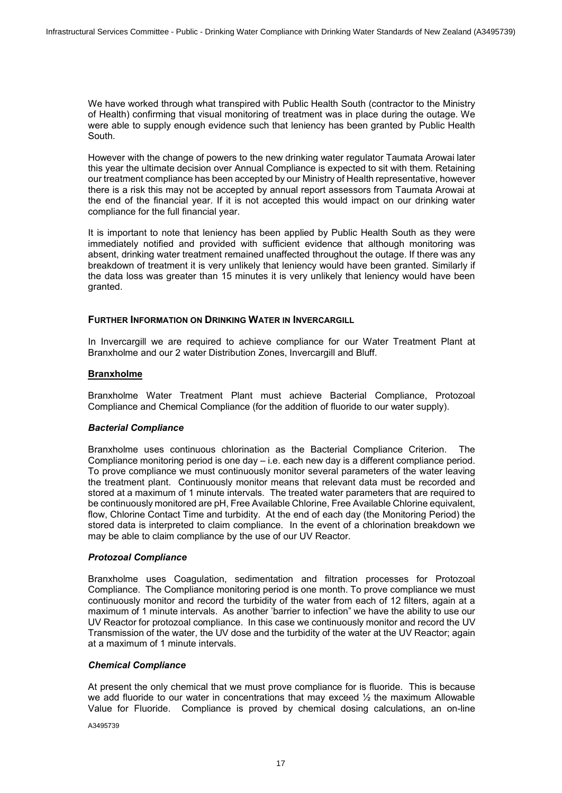We have worked through what transpired with Public Health South (contractor to the Ministry of Health) confirming that visual monitoring of treatment was in place during the outage. We were able to supply enough evidence such that leniency has been granted by Public Health South.

However with the change of powers to the new drinking water regulator Taumata Arowai later this year the ultimate decision over Annual Compliance is expected to sit with them. Retaining our treatment compliance has been accepted by our Ministry of Health representative, however there is a risk this may not be accepted by annual report assessors from Taumata Arowai at the end of the financial year. If it is not accepted this would impact on our drinking water compliance for the full financial year.

It is important to note that leniency has been applied by Public Health South as they were immediately notified and provided with sufficient evidence that although monitoring was absent, drinking water treatment remained unaffected throughout the outage. If there was any breakdown of treatment it is very unlikely that leniency would have been granted. Similarly if the data loss was greater than 15 minutes it is very unlikely that leniency would have been granted.

#### **FURTHER INFORMATION ON DRINKING WATER IN INVERCARGILL**

In Invercargill we are required to achieve compliance for our Water Treatment Plant at Branxholme and our 2 water Distribution Zones, Invercargill and Bluff.

#### **Branxholme**

Branxholme Water Treatment Plant must achieve Bacterial Compliance, Protozoal Compliance and Chemical Compliance (for the addition of fluoride to our water supply).

#### *Bacterial Compliance*

Branxholme uses continuous chlorination as the Bacterial Compliance Criterion. The Compliance monitoring period is one day – i.e. each new day is a different compliance period. To prove compliance we must continuously monitor several parameters of the water leaving the treatment plant. Continuously monitor means that relevant data must be recorded and stored at a maximum of 1 minute intervals. The treated water parameters that are required to be continuously monitored are pH, Free Available Chlorine, Free Available Chlorine equivalent, flow, Chlorine Contact Time and turbidity. At the end of each day (the Monitoring Period) the stored data is interpreted to claim compliance. In the event of a chlorination breakdown we may be able to claim compliance by the use of our UV Reactor.

#### *Protozoal Compliance*

Branxholme uses Coagulation, sedimentation and filtration processes for Protozoal Compliance. The Compliance monitoring period is one month. To prove compliance we must continuously monitor and record the turbidity of the water from each of 12 filters, again at a maximum of 1 minute intervals. As another 'barrier to infection" we have the ability to use our UV Reactor for protozoal compliance. In this case we continuously monitor and record the UV Transmission of the water, the UV dose and the turbidity of the water at the UV Reactor; again at a maximum of 1 minute intervals.

#### *Chemical Compliance*

At present the only chemical that we must prove compliance for is fluoride. This is because we add fluoride to our water in concentrations that may exceed  $\frac{1}{2}$  the maximum Allowable Value for Fluoride. Compliance is proved by chemical dosing calculations, an on-line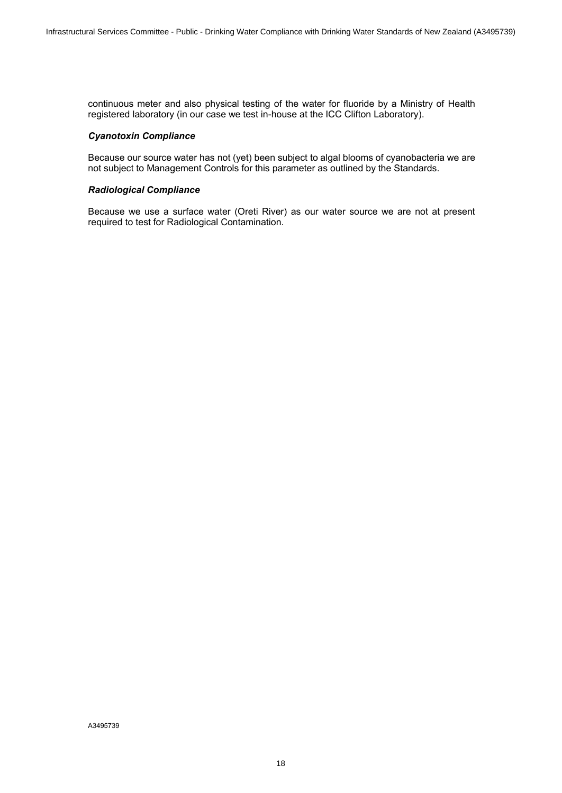continuous meter and also physical testing of the water for fluoride by a Ministry of Health registered laboratory (in our case we test in-house at the ICC Clifton Laboratory).

#### *Cyanotoxin Compliance*

Because our source water has not (yet) been subject to algal blooms of cyanobacteria we are not subject to Management Controls for this parameter as outlined by the Standards.

#### *Radiological Compliance*

Because we use a surface water (Oreti River) as our water source we are not at present required to test for Radiological Contamination.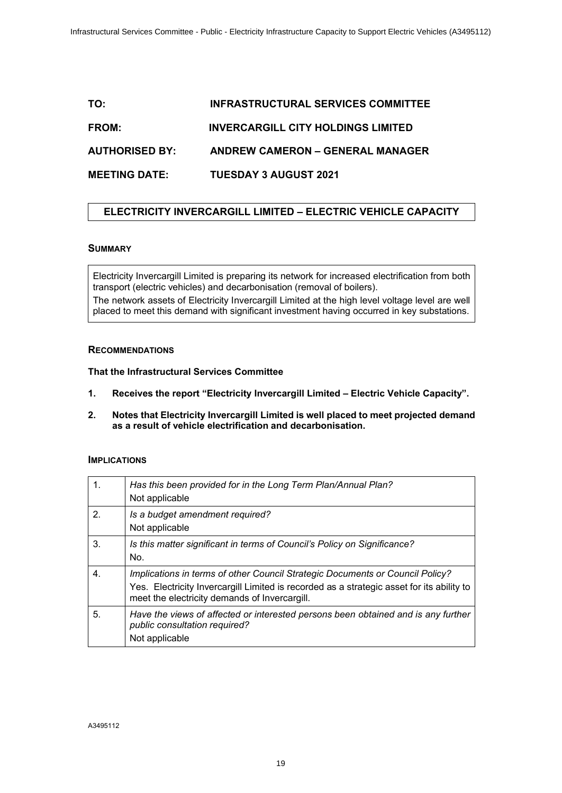# <span id="page-18-0"></span>**TO: INFRASTRUCTURAL SERVICES COMMITTEE FROM: INVERCARGILL CITY HOLDINGS LIMITED AUTHORISED BY: ANDREW CAMERON – GENERAL MANAGER MEETING DATE: TUESDAY 3 AUGUST 2021**

### **ELECTRICITY INVERCARGILL LIMITED – ELECTRIC VEHICLE CAPACITY**

#### **SUMMARY**

Electricity Invercargill Limited is preparing its network for increased electrification from both transport (electric vehicles) and decarbonisation (removal of boilers).

The network assets of Electricity Invercargill Limited at the high level voltage level are well placed to meet this demand with significant investment having occurred in key substations.

#### **RECOMMENDATIONS**

**That the Infrastructural Services Committee**

- **1. Receives the report "Electricity Invercargill Limited Electric Vehicle Capacity".**
- **2. Notes that Electricity Invercargill Limited is well placed to meet projected demand as a result of vehicle electrification and decarbonisation.**

#### **IMPLICATIONS**

| 1. | Has this been provided for in the Long Term Plan/Annual Plan?<br>Not applicable                                                                                                                                             |
|----|-----------------------------------------------------------------------------------------------------------------------------------------------------------------------------------------------------------------------------|
| 2. | Is a budget amendment required?<br>Not applicable                                                                                                                                                                           |
| 3. | Is this matter significant in terms of Council's Policy on Significance?<br>No.                                                                                                                                             |
| 4. | Implications in terms of other Council Strategic Documents or Council Policy?<br>Yes. Electricity Invercargill Limited is recorded as a strategic asset for its ability to<br>meet the electricity demands of Invercargill. |
| 5. | Have the views of affected or interested persons been obtained and is any further<br>public consultation required?<br>Not applicable                                                                                        |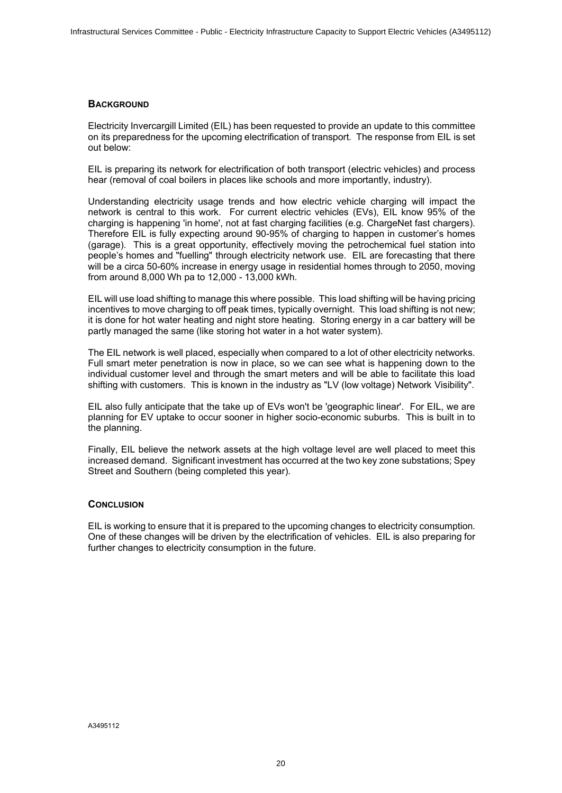#### **BACKGROUND**

Electricity Invercargill Limited (EIL) has been requested to provide an update to this committee on its preparedness for the upcoming electrification of transport. The response from EIL is set out below:

EIL is preparing its network for electrification of both transport (electric vehicles) and process hear (removal of coal boilers in places like schools and more importantly, industry).

Understanding electricity usage trends and how electric vehicle charging will impact the network is central to this work. For current electric vehicles (EVs), EIL know 95% of the charging is happening 'in home', not at fast charging facilities (e.g. ChargeNet fast chargers). Therefore EIL is fully expecting around 90-95% of charging to happen in customer's homes (garage). This is a great opportunity, effectively moving the petrochemical fuel station into people's homes and "fuelling" through electricity network use. EIL are forecasting that there will be a circa 50-60% increase in energy usage in residential homes through to 2050, moving from around 8,000 Wh pa to 12,000 - 13,000 kWh.

EIL will use load shifting to manage this where possible. This load shifting will be having pricing incentives to move charging to off peak times, typically overnight. This load shifting is not new; it is done for hot water heating and night store heating. Storing energy in a car battery will be partly managed the same (like storing hot water in a hot water system).

The EIL network is well placed, especially when compared to a lot of other electricity networks. Full smart meter penetration is now in place, so we can see what is happening down to the individual customer level and through the smart meters and will be able to facilitate this load shifting with customers. This is known in the industry as "LV (low voltage) Network Visibility".

EIL also fully anticipate that the take up of EVs won't be 'geographic linear'. For EIL, we are planning for EV uptake to occur sooner in higher socio-economic suburbs. This is built in to the planning.

Finally, EIL believe the network assets at the high voltage level are well placed to meet this increased demand. Significant investment has occurred at the two key zone substations; Spey Street and Southern (being completed this year).

#### **CONCLUSION**

EIL is working to ensure that it is prepared to the upcoming changes to electricity consumption. One of these changes will be driven by the electrification of vehicles. EIL is also preparing for further changes to electricity consumption in the future.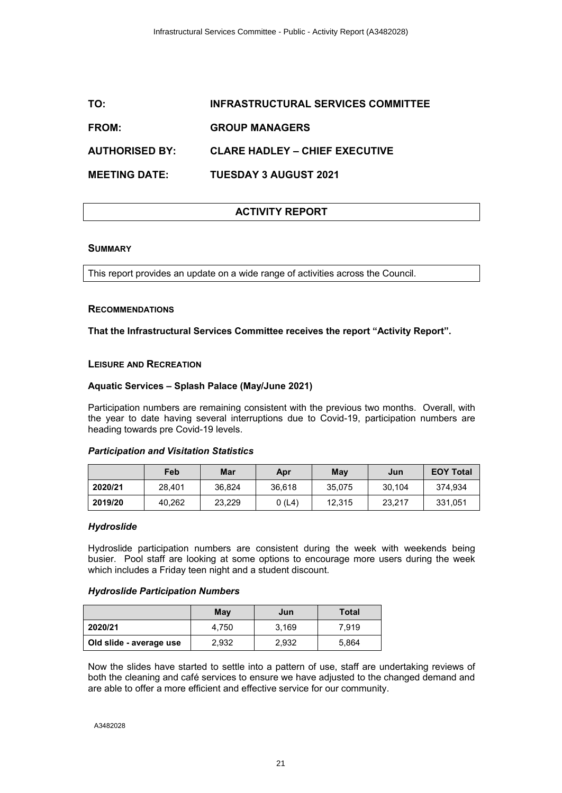### <span id="page-20-0"></span>**TO: INFRASTRUCTURAL SERVICES COMMITTEE**

#### **FROM: GROUP MANAGERS**

**AUTHORISED BY: CLARE HADLEY – CHIEF EXECUTIVE**

**MEETING DATE: TUESDAY 3 AUGUST 2021**

### **ACTIVITY REPORT**

#### **SUMMARY**

This report provides an update on a wide range of activities across the Council.

#### **RECOMMENDATIONS**

#### **That the Infrastructural Services Committee receives the report "Activity Report".**

#### **LEISURE AND RECREATION**

#### **Aquatic Services – Splash Palace (May/June 2021)**

Participation numbers are remaining consistent with the previous two months. Overall, with the year to date having several interruptions due to Covid-19, participation numbers are heading towards pre Covid-19 levels.

#### *Participation and Visitation Statistics*

|         | Feb    | Mar    | Apr    | Mav    | Jun    | <b>EOY Total</b> |
|---------|--------|--------|--------|--------|--------|------------------|
| 2020/21 | 28.401 | 36.824 | 36.618 | 35.075 | 30.104 | 374.934          |
| 2019/20 | 40.262 | 23.229 | 0(L4)  | 12.315 | 23.217 | 331.051          |

#### *Hydroslide*

Hydroslide participation numbers are consistent during the week with weekends being busier. Pool staff are looking at some options to encourage more users during the week which includes a Friday teen night and a student discount.

#### *Hydroslide Participation Numbers*

|                         | May   | Jun   | Total |
|-------------------------|-------|-------|-------|
| 2020/21                 | 4.750 | 3.169 | 7,919 |
| Old slide - average use | 2,932 | 2,932 | 5,864 |

Now the slides have started to settle into a pattern of use, staff are undertaking reviews of both the cleaning and café services to ensure we have adjusted to the changed demand and are able to offer a more efficient and effective service for our community.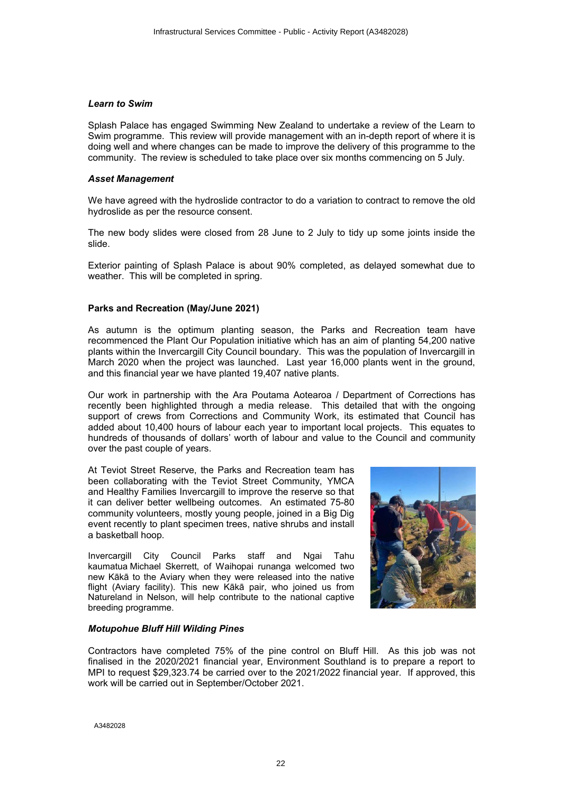#### *Learn to Swim*

Splash Palace has engaged Swimming New Zealand to undertake a review of the Learn to Swim programme. This review will provide management with an in-depth report of where it is doing well and where changes can be made to improve the delivery of this programme to the community. The review is scheduled to take place over six months commencing on 5 July.

#### *Asset Management*

We have agreed with the hydroslide contractor to do a variation to contract to remove the old hydroslide as per the resource consent.

The new body slides were closed from 28 June to 2 July to tidy up some joints inside the slide.

Exterior painting of Splash Palace is about 90% completed, as delayed somewhat due to weather. This will be completed in spring.

#### **Parks and Recreation (May/June 2021)**

As autumn is the optimum planting season, the Parks and Recreation team have recommenced the Plant Our Population initiative which has an aim of planting 54,200 native plants within the Invercargill City Council boundary. This was the population of Invercargill in March 2020 when the project was launched. Last year 16,000 plants went in the ground, and this financial year we have planted 19,407 native plants.

Our work in partnership with the Ara Poutama Aotearoa / Department of Corrections has recently been highlighted through a media release. This detailed that with the ongoing support of crews from Corrections and Community Work, its estimated that Council has added about 10,400 hours of labour each year to important local projects. This equates to hundreds of thousands of dollars' worth of labour and value to the Council and community over the past couple of years.

At Teviot Street Reserve, the Parks and Recreation team has been collaborating with the Teviot Street Community, YMCA and Healthy Families Invercargill to improve the reserve so that it can deliver better wellbeing outcomes. An estimated 75-80 community volunteers, mostly young people, joined in a Big Dig event recently to plant specimen trees, native shrubs and install a basketball hoop.

Invercargill City Council Parks staff and Ngai Tahu kaumatua Michael Skerrett, of Waihopai runanga welcomed two new Kākā to the Aviary when they were released into the native flight (Aviary facility). This new Kākā pair, who joined us from Natureland in Nelson, will help contribute to the national captive breeding programme.



#### *Motupohue Bluff Hill Wilding Pines*

Contractors have completed 75% of the pine control on Bluff Hill. As this job was not finalised in the 2020/2021 financial year, Environment Southland is to prepare a report to MPI to request \$29,323.74 be carried over to the 2021/2022 financial year. If approved, this work will be carried out in September/October 2021.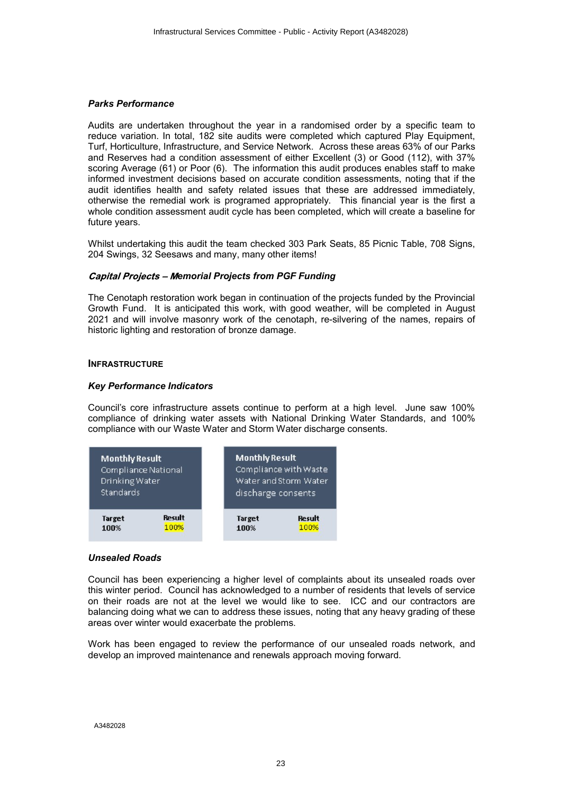#### *Parks Performance*

Audits are undertaken throughout the year in a randomised order by a specific team to reduce variation. In total, 182 site audits were completed which captured Play Equipment, Turf, Horticulture, Infrastructure, and Service Network. Across these areas 63% of our Parks and Reserves had a condition assessment of either Excellent (3) or Good (112), with 37% scoring Average (61) or Poor (6). The information this audit produces enables staff to make informed investment decisions based on accurate condition assessments, noting that if the audit identifies health and safety related issues that these are addressed immediately, otherwise the remedial work is programed appropriately. This financial year is the first a whole condition assessment audit cycle has been completed, which will create a baseline for future years.

Whilst undertaking this audit the team checked 303 Park Seats, 85 Picnic Table, 708 Signs, 204 Swings, 32 Seesaws and many, many other items!

#### *Capital Projects - Memorial Projects from PGF Funding*

The Cenotaph restoration work began in continuation of the projects funded by the Provincial Growth Fund. It is anticipated this work, with good weather, will be completed in August 2021 and will involve masonry work of the cenotaph, re-silvering of the names, repairs of historic lighting and restoration of bronze damage.

#### **INFRASTRUCTURE**

#### *Key Performance Indicators*

Council's core infrastructure assets continue to perform at a high level. June saw 100% compliance of drinking water assets with National Drinking Water Standards, and 100% compliance with our Waste Water and Storm Water discharge consents.



#### *Unsealed Roads*

Council has been experiencing a higher level of complaints about its unsealed roads over this winter period. Council has acknowledged to a number of residents that levels of service on their roads are not at the level we would like to see. ICC and our contractors are balancing doing what we can to address these issues, noting that any heavy grading of these areas over winter would exacerbate the problems.

Work has been engaged to review the performance of our unsealed roads network, and develop an improved maintenance and renewals approach moving forward.